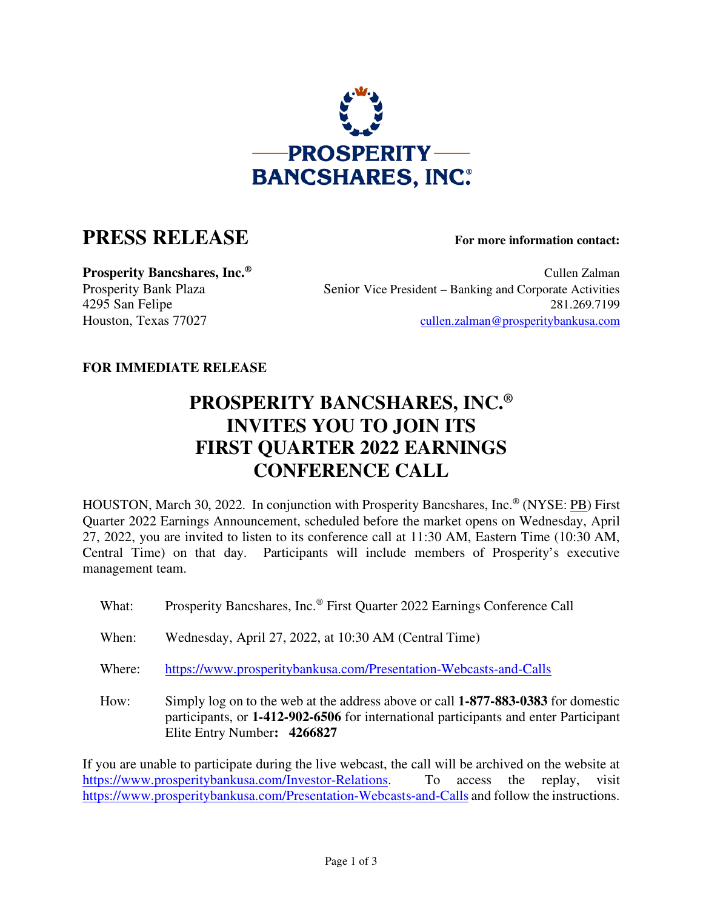

## **PRESS RELEASE For more information contact:**

**Prosperity Bancshares, Inc.**<sup>®</sup> Cullen Zalman Cullen Zalman

Prosperity Bank Plaza Senior Vice President – Banking and Corporate Activities 4295 San Felipe 281.269.7199 Houston, Texas 77027 cullen.zalman@prosperitybankusa.com

## **FOR IMMEDIATE RELEASE**

## **PROSPERITY BANCSHARES, INC.® INVITES YOU TO JOIN ITS FIRST QUARTER 2022 EARNINGS CONFERENCE CALL**

HOUSTON, March 30, 2022. In conjunction with Prosperity Bancshares, Inc.<sup>®</sup> (NYSE: PB) First Quarter 2022 Earnings Announcement, scheduled before the market opens on Wednesday, April 27, 2022, you are invited to listen to its conference call at 11:30 AM, Eastern Time (10:30 AM, Central Time) on that day. Participants will include members of Prosperity's executive management team.

 What: Prosperity Bancshares, Inc.® First Quarter 2022 Earnings Conference Call When: Wednesday, April 27, 2022, at 10:30 AM (Central Time) Where: https://www.prosperitybankusa.com/Presentation-Webcasts-and-Calls How: Simply log on to the web at the address above or call **1-877-883-0383** for domestic participants, or **1-412-902-6506** for international participants and enter Participant

Elite Entry Number**: 4266827**

If you are unable to participate during the live webcast, the call will be archived on the website at https://www.prosperitybankusa.com/Investor-Relations. To access the replay, visit https://www.prosperitybankusa.com/Presentation-Webcasts-and-Calls and follow the instructions.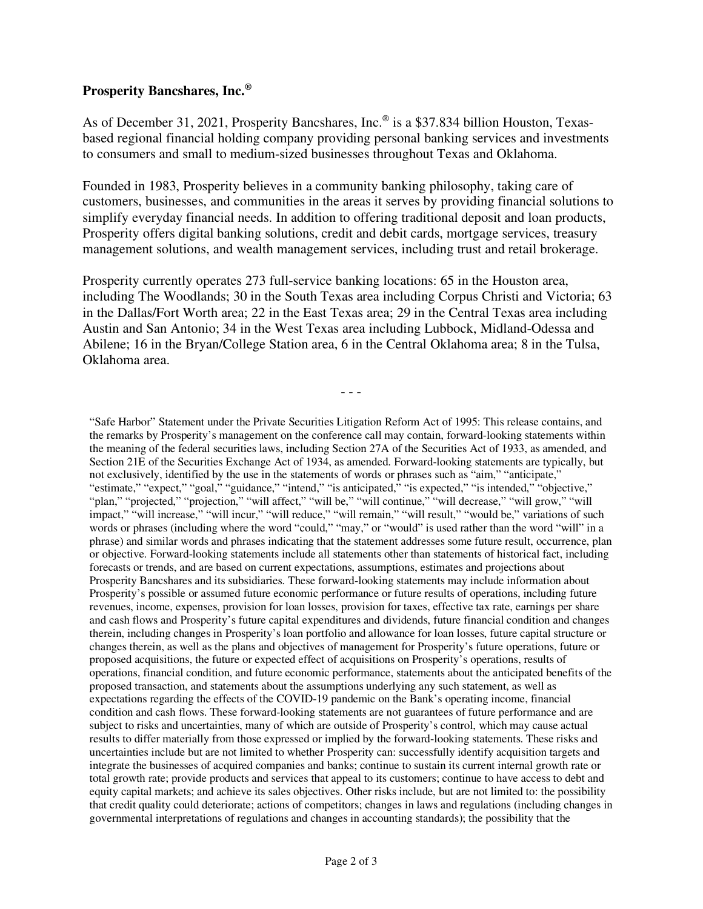## **Prosperity Bancshares, Inc.®**

As of December 31, 2021, Prosperity Bancshares, Inc.<sup>®</sup> is a \$37.834 billion Houston, Texasbased regional financial holding company providing personal banking services and investments to consumers and small to medium-sized businesses throughout Texas and Oklahoma.

Founded in 1983, Prosperity believes in a community banking philosophy, taking care of customers, businesses, and communities in the areas it serves by providing financial solutions to simplify everyday financial needs. In addition to offering traditional deposit and loan products, Prosperity offers digital banking solutions, credit and debit cards, mortgage services, treasury management solutions, and wealth management services, including trust and retail brokerage.

Prosperity currently operates 273 full-service banking locations: 65 in the Houston area, including The Woodlands; 30 in the South Texas area including Corpus Christi and Victoria; 63 in the Dallas/Fort Worth area; 22 in the East Texas area; 29 in the Central Texas area including Austin and San Antonio; 34 in the West Texas area including Lubbock, Midland-Odessa and Abilene; 16 in the Bryan/College Station area, 6 in the Central Oklahoma area; 8 in the Tulsa, Oklahoma area.

- - -

"Safe Harbor" Statement under the Private Securities Litigation Reform Act of 1995: This release contains, and the remarks by Prosperity's management on the conference call may contain, forward-looking statements within the meaning of the federal securities laws, including Section 27A of the Securities Act of 1933, as amended, and Section 21E of the Securities Exchange Act of 1934, as amended. Forward-looking statements are typically, but not exclusively, identified by the use in the statements of words or phrases such as "aim," "anticipate," "estimate," "expect," "goal," "guidance," "intend," "is anticipated," "is expected," "is intended," "objective," "plan," "projected," "projection," "will affect," "will be," "will continue," "will decrease," "will grow," "will impact," "will increase," "will incur," "will reduce," "will remain," "will result," "would be," variations of such words or phrases (including where the word "could," "may," or "would" is used rather than the word "will" in a phrase) and similar words and phrases indicating that the statement addresses some future result, occurrence, plan or objective. Forward-looking statements include all statements other than statements of historical fact, including forecasts or trends, and are based on current expectations, assumptions, estimates and projections about Prosperity Bancshares and its subsidiaries. These forward-looking statements may include information about Prosperity's possible or assumed future economic performance or future results of operations, including future revenues, income, expenses, provision for loan losses, provision for taxes, effective tax rate, earnings per share and cash flows and Prosperity's future capital expenditures and dividends, future financial condition and changes therein, including changes in Prosperity's loan portfolio and allowance for loan losses, future capital structure or changes therein, as well as the plans and objectives of management for Prosperity's future operations, future or proposed acquisitions, the future or expected effect of acquisitions on Prosperity's operations, results of operations, financial condition, and future economic performance, statements about the anticipated benefits of the proposed transaction, and statements about the assumptions underlying any such statement, as well as expectations regarding the effects of the COVID-19 pandemic on the Bank's operating income, financial condition and cash flows. These forward-looking statements are not guarantees of future performance and are subject to risks and uncertainties, many of which are outside of Prosperity's control, which may cause actual results to differ materially from those expressed or implied by the forward-looking statements. These risks and uncertainties include but are not limited to whether Prosperity can: successfully identify acquisition targets and integrate the businesses of acquired companies and banks; continue to sustain its current internal growth rate or total growth rate; provide products and services that appeal to its customers; continue to have access to debt and equity capital markets; and achieve its sales objectives. Other risks include, but are not limited to: the possibility that credit quality could deteriorate; actions of competitors; changes in laws and regulations (including changes in governmental interpretations of regulations and changes in accounting standards); the possibility that the